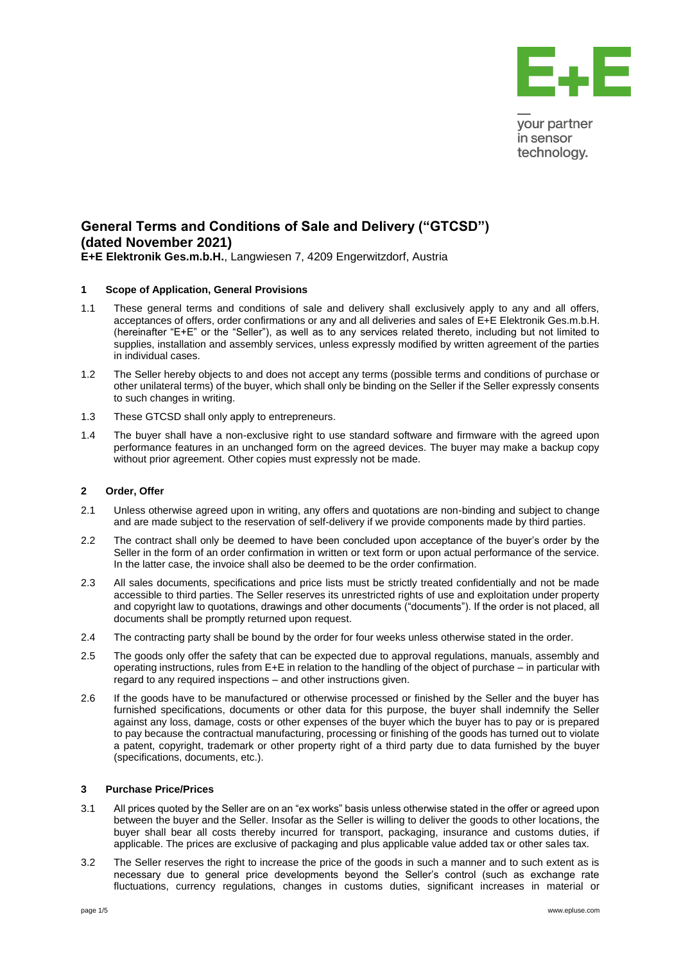

your partner in sensor technology.

# **General Terms and Conditions of Sale and Delivery ("GTCSD") (dated November 2021) E+E Elektronik Ges.m.b.H.**, Langwiesen 7, 4209 Engerwitzdorf, Austria

### **1 Scope of Application, General Provisions**

- 1.1 These general terms and conditions of sale and delivery shall exclusively apply to any and all offers, acceptances of offers, order confirmations or any and all deliveries and sales of E+E Elektronik Ges.m.b.H. (hereinafter "E+E" or the "Seller"), as well as to any services related thereto, including but not limited to supplies, installation and assembly services, unless expressly modified by written agreement of the parties in individual cases.
- 1.2 The Seller hereby objects to and does not accept any terms (possible terms and conditions of purchase or other unilateral terms) of the buyer, which shall only be binding on the Seller if the Seller expressly consents to such changes in writing.
- 1.3 These GTCSD shall only apply to entrepreneurs.
- 1.4 The buyer shall have a non-exclusive right to use standard software and firmware with the agreed upon performance features in an unchanged form on the agreed devices. The buyer may make a backup copy without prior agreement. Other copies must expressly not be made.

### **2 Order, Offer**

- 2.1 Unless otherwise agreed upon in writing, any offers and quotations are non-binding and subject to change and are made subject to the reservation of self-delivery if we provide components made by third parties.
- 2.2 The contract shall only be deemed to have been concluded upon acceptance of the buyer's order by the Seller in the form of an order confirmation in written or text form or upon actual performance of the service. In the latter case, the invoice shall also be deemed to be the order confirmation.
- 2.3 All sales documents, specifications and price lists must be strictly treated confidentially and not be made accessible to third parties. The Seller reserves its unrestricted rights of use and exploitation under property and copyright law to quotations, drawings and other documents ("documents"). If the order is not placed, all documents shall be promptly returned upon request.
- 2.4 The contracting party shall be bound by the order for four weeks unless otherwise stated in the order.
- 2.5 The goods only offer the safety that can be expected due to approval regulations, manuals, assembly and operating instructions, rules from E+E in relation to the handling of the object of purchase – in particular with regard to any required inspections – and other instructions given.
- 2.6 If the goods have to be manufactured or otherwise processed or finished by the Seller and the buyer has furnished specifications, documents or other data for this purpose, the buyer shall indemnify the Seller against any loss, damage, costs or other expenses of the buyer which the buyer has to pay or is prepared to pay because the contractual manufacturing, processing or finishing of the goods has turned out to violate a patent, copyright, trademark or other property right of a third party due to data furnished by the buyer (specifications, documents, etc.).

#### **3 Purchase Price/Prices**

- 3.1 All prices quoted by the Seller are on an "ex works" basis unless otherwise stated in the offer or agreed upon between the buyer and the Seller. Insofar as the Seller is willing to deliver the goods to other locations, the buyer shall bear all costs thereby incurred for transport, packaging, insurance and customs duties, if applicable. The prices are exclusive of packaging and plus applicable value added tax or other sales tax.
- 3.2 The Seller reserves the right to increase the price of the goods in such a manner and to such extent as is necessary due to general price developments beyond the Seller's control (such as exchange rate fluctuations, currency regulations, changes in customs duties, significant increases in material or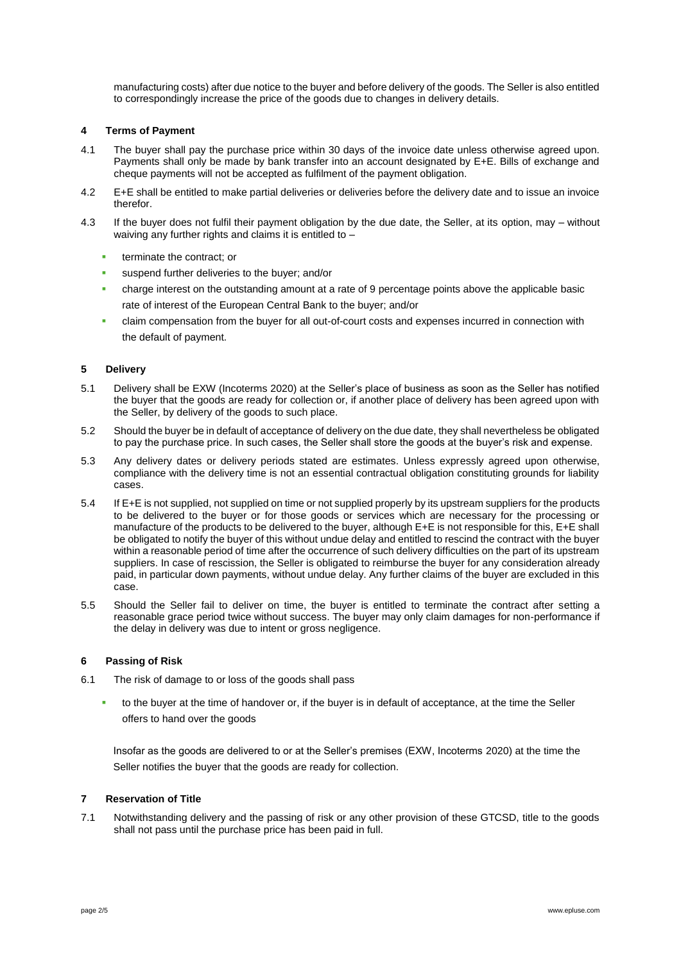manufacturing costs) after due notice to the buyer and before delivery of the goods. The Seller is also entitled to correspondingly increase the price of the goods due to changes in delivery details.

## **4 Terms of Payment**

- 4.1 The buyer shall pay the purchase price within 30 days of the invoice date unless otherwise agreed upon. Payments shall only be made by bank transfer into an account designated by E+E. Bills of exchange and cheque payments will not be accepted as fulfilment of the payment obligation.
- 4.2 E+E shall be entitled to make partial deliveries or deliveries before the delivery date and to issue an invoice therefor.
- 4.3 If the buyer does not fulfil their payment obligation by the due date, the Seller, at its option, may without waiving any further rights and claims it is entitled to –
	- terminate the contract; or
	- suspend further deliveries to the buyer; and/or
	- charge interest on the outstanding amount at a rate of 9 percentage points above the applicable basic rate of interest of the European Central Bank to the buyer; and/or
	- claim compensation from the buyer for all out-of-court costs and expenses incurred in connection with the default of payment.

### **5 Delivery**

- 5.1 Delivery shall be EXW (Incoterms 2020) at the Seller's place of business as soon as the Seller has notified the buyer that the goods are ready for collection or, if another place of delivery has been agreed upon with the Seller, by delivery of the goods to such place.
- 5.2 Should the buyer be in default of acceptance of delivery on the due date, they shall nevertheless be obligated to pay the purchase price. In such cases, the Seller shall store the goods at the buyer's risk and expense.
- 5.3 Any delivery dates or delivery periods stated are estimates. Unless expressly agreed upon otherwise, compliance with the delivery time is not an essential contractual obligation constituting grounds for liability cases.
- 5.4 If E+E is not supplied, not supplied on time or not supplied properly by its upstream suppliers for the products to be delivered to the buyer or for those goods or services which are necessary for the processing or manufacture of the products to be delivered to the buyer, although E+E is not responsible for this, E+E shall be obligated to notify the buyer of this without undue delay and entitled to rescind the contract with the buyer within a reasonable period of time after the occurrence of such delivery difficulties on the part of its upstream suppliers. In case of rescission, the Seller is obligated to reimburse the buyer for any consideration already paid, in particular down payments, without undue delay. Any further claims of the buyer are excluded in this case.
- 5.5 Should the Seller fail to deliver on time, the buyer is entitled to terminate the contract after setting a reasonable grace period twice without success. The buyer may only claim damages for non-performance if the delay in delivery was due to intent or gross negligence.

### **6 Passing of Risk**

- 6.1 The risk of damage to or loss of the goods shall pass
	- to the buyer at the time of handover or, if the buyer is in default of acceptance, at the time the Seller offers to hand over the goods

Insofar as the goods are delivered to or at the Seller's premises (EXW, Incoterms 2020) at the time the Seller notifies the buyer that the goods are ready for collection.

### **7 Reservation of Title**

7.1 Notwithstanding delivery and the passing of risk or any other provision of these GTCSD, title to the goods shall not pass until the purchase price has been paid in full.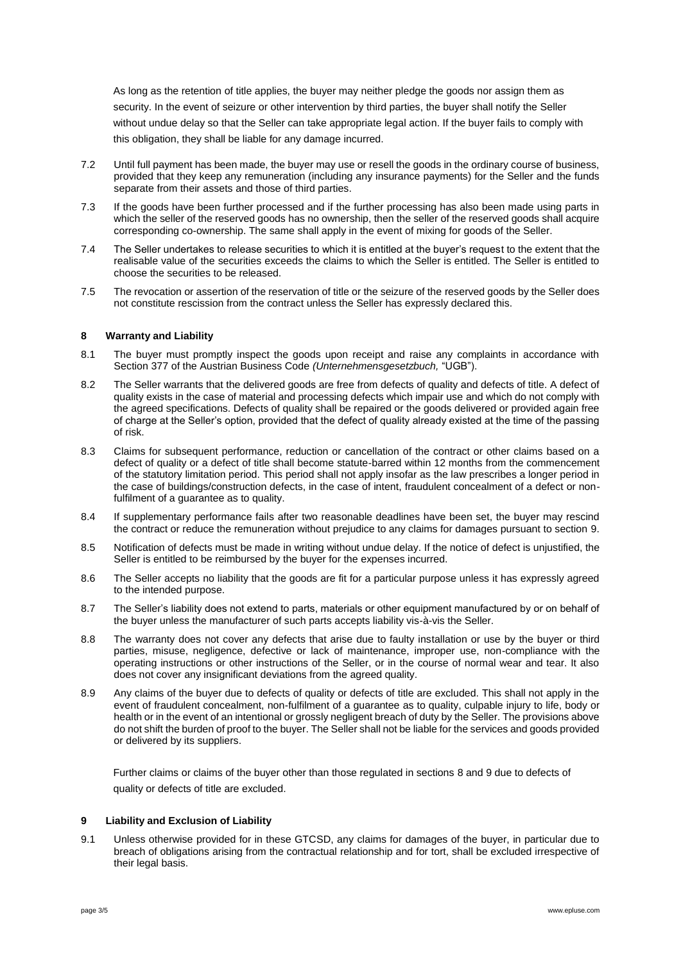As long as the retention of title applies, the buyer may neither pledge the goods nor assign them as security. In the event of seizure or other intervention by third parties, the buyer shall notify the Seller without undue delay so that the Seller can take appropriate legal action. If the buyer fails to comply with this obligation, they shall be liable for any damage incurred.

- 7.2 Until full payment has been made, the buyer may use or resell the goods in the ordinary course of business, provided that they keep any remuneration (including any insurance payments) for the Seller and the funds separate from their assets and those of third parties.
- 7.3 If the goods have been further processed and if the further processing has also been made using parts in which the seller of the reserved goods has no ownership, then the seller of the reserved goods shall acquire corresponding co-ownership. The same shall apply in the event of mixing for goods of the Seller.
- 7.4 The Seller undertakes to release securities to which it is entitled at the buyer's request to the extent that the realisable value of the securities exceeds the claims to which the Seller is entitled. The Seller is entitled to choose the securities to be released.
- 7.5 The revocation or assertion of the reservation of title or the seizure of the reserved goods by the Seller does not constitute rescission from the contract unless the Seller has expressly declared this.

### **8 Warranty and Liability**

- 8.1 The buyer must promptly inspect the goods upon receipt and raise any complaints in accordance with Section 377 of the Austrian Business Code *(Unternehmensgesetzbuch,* "UGB").
- 8.2 The Seller warrants that the delivered goods are free from defects of quality and defects of title. A defect of quality exists in the case of material and processing defects which impair use and which do not comply with the agreed specifications. Defects of quality shall be repaired or the goods delivered or provided again free of charge at the Seller's option, provided that the defect of quality already existed at the time of the passing of risk.
- 8.3 Claims for subsequent performance, reduction or cancellation of the contract or other claims based on a defect of quality or a defect of title shall become statute-barred within 12 months from the commencement of the statutory limitation period. This period shall not apply insofar as the law prescribes a longer period in the case of buildings/construction defects, in the case of intent, fraudulent concealment of a defect or nonfulfilment of a guarantee as to quality.
- 8.4 If supplementary performance fails after two reasonable deadlines have been set, the buyer may rescind the contract or reduce the remuneration without prejudice to any claims for damages pursuant to section 9.
- 8.5 Notification of defects must be made in writing without undue delay. If the notice of defect is unjustified, the Seller is entitled to be reimbursed by the buyer for the expenses incurred.
- 8.6 The Seller accepts no liability that the goods are fit for a particular purpose unless it has expressly agreed to the intended purpose.
- 8.7 The Seller's liability does not extend to parts, materials or other equipment manufactured by or on behalf of the buyer unless the manufacturer of such parts accepts liability vis-à-vis the Seller.
- 8.8 The warranty does not cover any defects that arise due to faulty installation or use by the buyer or third parties, misuse, negligence, defective or lack of maintenance, improper use, non-compliance with the operating instructions or other instructions of the Seller, or in the course of normal wear and tear. It also does not cover any insignificant deviations from the agreed quality.
- 8.9 Any claims of the buyer due to defects of quality or defects of title are excluded. This shall not apply in the event of fraudulent concealment, non-fulfilment of a guarantee as to quality, culpable injury to life, body or health or in the event of an intentional or grossly negligent breach of duty by the Seller. The provisions above do not shift the burden of proof to the buyer. The Seller shall not be liable for the services and goods provided or delivered by its suppliers.

Further claims or claims of the buyer other than those regulated in sections 8 and 9 due to defects of quality or defects of title are excluded.

### **9 Liability and Exclusion of Liability**

9.1 Unless otherwise provided for in these GTCSD, any claims for damages of the buyer, in particular due to breach of obligations arising from the contractual relationship and for tort, shall be excluded irrespective of their legal basis.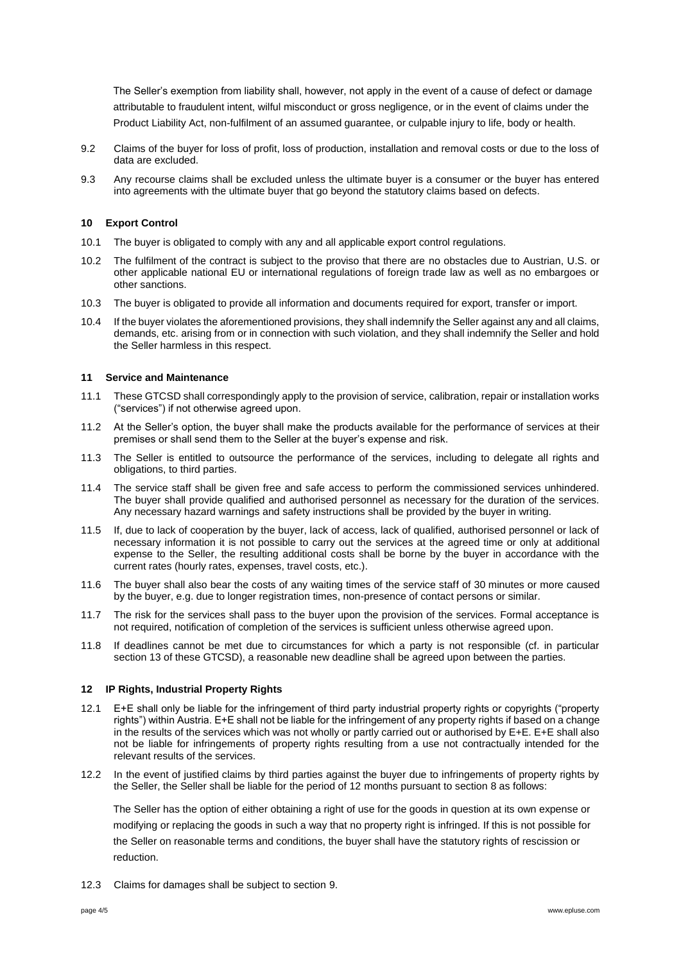The Seller's exemption from liability shall, however, not apply in the event of a cause of defect or damage attributable to fraudulent intent, wilful misconduct or gross negligence, or in the event of claims under the Product Liability Act, non-fulfilment of an assumed guarantee, or culpable injury to life, body or health.

- 9.2 Claims of the buyer for loss of profit, loss of production, installation and removal costs or due to the loss of data are excluded.
- 9.3 Any recourse claims shall be excluded unless the ultimate buyer is a consumer or the buyer has entered into agreements with the ultimate buyer that go beyond the statutory claims based on defects.

### **10 Export Control**

- 10.1 The buyer is obligated to comply with any and all applicable export control regulations.
- 10.2 The fulfilment of the contract is subject to the proviso that there are no obstacles due to Austrian, U.S. or other applicable national EU or international regulations of foreign trade law as well as no embargoes or other sanctions.
- 10.3 The buyer is obligated to provide all information and documents required for export, transfer or import.
- 10.4 If the buyer violates the aforementioned provisions, they shall indemnify the Seller against any and all claims, demands, etc. arising from or in connection with such violation, and they shall indemnify the Seller and hold the Seller harmless in this respect.

### **11 Service and Maintenance**

- 11.1 These GTCSD shall correspondingly apply to the provision of service, calibration, repair or installation works ("services") if not otherwise agreed upon.
- 11.2 At the Seller's option, the buyer shall make the products available for the performance of services at their premises or shall send them to the Seller at the buyer's expense and risk.
- 11.3 The Seller is entitled to outsource the performance of the services, including to delegate all rights and obligations, to third parties.
- 11.4 The service staff shall be given free and safe access to perform the commissioned services unhindered. The buyer shall provide qualified and authorised personnel as necessary for the duration of the services. Any necessary hazard warnings and safety instructions shall be provided by the buyer in writing.
- 11.5 If, due to lack of cooperation by the buyer, lack of access, lack of qualified, authorised personnel or lack of necessary information it is not possible to carry out the services at the agreed time or only at additional expense to the Seller, the resulting additional costs shall be borne by the buyer in accordance with the current rates (hourly rates, expenses, travel costs, etc.).
- 11.6 The buyer shall also bear the costs of any waiting times of the service staff of 30 minutes or more caused by the buyer, e.g. due to longer registration times, non-presence of contact persons or similar.
- 11.7 The risk for the services shall pass to the buyer upon the provision of the services. Formal acceptance is not required, notification of completion of the services is sufficient unless otherwise agreed upon.
- 11.8 If deadlines cannot be met due to circumstances for which a party is not responsible (cf. in particular section 13 of these GTCSD), a reasonable new deadline shall be agreed upon between the parties.

### **12 IP Rights, Industrial Property Rights**

- 12.1 E+E shall only be liable for the infringement of third party industrial property rights or copyrights ("property rights") within Austria. E+E shall not be liable for the infringement of any property rights if based on a change in the results of the services which was not wholly or partly carried out or authorised by E+E. E+E shall also not be liable for infringements of property rights resulting from a use not contractually intended for the relevant results of the services.
- 12.2 In the event of justified claims by third parties against the buyer due to infringements of property rights by the Seller, the Seller shall be liable for the period of 12 months pursuant to section 8 as follows:

The Seller has the option of either obtaining a right of use for the goods in question at its own expense or modifying or replacing the goods in such a way that no property right is infringed. If this is not possible for the Seller on reasonable terms and conditions, the buyer shall have the statutory rights of rescission or reduction.

12.3 Claims for damages shall be subject to section 9.